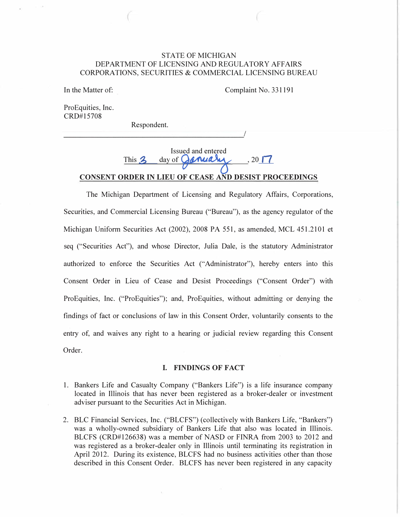# STATE OF MICHIGAN DEPARTMENT OF LICENSING AND REGULATORY AFFAIRS CORPORATIONS, SECURITIES & COMMERCIAL LICENSING BUREAU

In the Matter of:

Complaint No. 331191

ProEquities, Inc. CRD#15708

Respondent.

# Issued and entered This  $2 \text{ day of }$   $\alpha$   $\alpha$   $\beta$   $\gamma$   $\alpha$   $\beta$   $\gamma$ **CONSENT ORDER IN LIEU OF CEASE AND DESIST PROCEEDINGS**

The Michigan Department of Licensing and Regulatory Affairs, Corporations, Securities, and Commercial Licensing Bureau ("Bureau"), as the agency regulator of the Michigan Uniform Securities Act (2002), 2008 PA 551, as amended, MCL 451.2101 et seq ("Securities Act"), and whose Director, Julia Dale, is the statutory Administrator authorized to enforce the Securities Act ("Administrator"), hereby enters into this Consent Order in Lieu of Cease and Desist Proceedings ("Consent Order") with ProEquities, Inc. ("ProEquities"); and, ProEquities, without admitting or denying the findings of fact or conclusions of law in this Consent Order, voluntarily consents to the entry of, and waives any right to a hearing or judicial review regarding this Consent Order.

### **I. FINDINGS OF FACT**

- 1. Bankers Life and Casualty Company ("Bankers Life") is a life insurance company located in Illinois that has never been registered as a broker-dealer or investment adviser pursuant to the Securities Act in Michigan.
- 2. BLC Financial Services, Inc. ("BLCFS") (collectively with Bankers Life, "Bankers") was a wholly-owned subsidiary of Bankers Life that also was located in Illinois. BLCFS (CRD#126638) was a member of NASD or FINRA from 2003 to 2012 and was registered as a broker-dealer only in Illinois until terminating its registration in April 2012. During its existence, BLCFS had no business activities other than those described in this Consent Order. BLCFS has never been registered in any capacity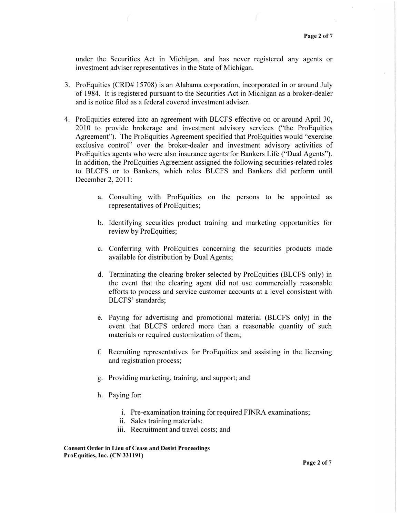under the Securities Act in Michigan, and has never registered any agents or investment adviser representatives in the State of Michigan.

- 3. ProEquities (CRD# 15708) is an Alabama corporation, incorporated in or around July of 1984. It is registered pursuant to the Securities Act in Michigan as a broker-dealer and is notice filed as a federal covered investment adviser.
- 4. ProEquities entered into an agreement with BLCFS effective on or around April 30, 2010 to provide brokerage and investment advisory services ("the ProEquities Agreement"). The ProEquities Agreement specified that ProEquities would "exercise exclusive control" over the broker-dealer and investment advisory activities of ProEquities agents who were also insurance agents for Bankers Life ("Dual Agents"). In addition, the ProEquities Agreement assigned the following securities-related roles to BLCFS or to Bankers, which roles BLCFS and Bankers did perform until December 2, 2011:
	- a. Consulting with ProEquities on the persons to be appointed as representatives of ProEquities;
	- b. Identifying securities product training and marketing opportunities for review by ProEquities;
	- c. Conferring with ProEquities concerning the securities products made available for distribution by Dual Agents;
	- d. Terminating the clearing broker selected by ProEquities (BLCFS only) in the event that the clearing agent did not use commercially reasonable efforts to process and service customer accounts at a level consistent with BLCFS' standards;
	- e. Paying for advertising and promotional material (BLCFS only) in the event that BLCFS ordered more than a reasonable quantity of such materials or required customization of them;
	- f. Recruiting representatives for ProEquities and assisting in the licensing and registration process;
	- g. Providing marketing, training, and support; and
	- h. Paying for:
		- i. Pre-examination training for required FINRA examinations;
		- ii. Sales training materials;
		- iii. Recruitment and travel costs; and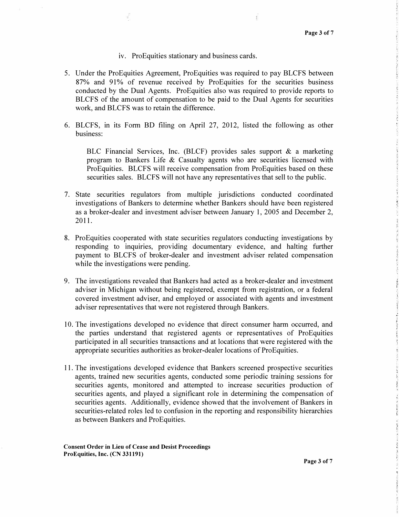#### iv. ProEquities stationary and business cards.

- 5. Under the ProEquities Agreement, ProEquities was required to pay BLCFS between 87% and 91% of revenue received by ProEquities for the securities business conducted by the Dual Agents. ProEquities also was required to provide reports to BLCFS of the amount of compensation to be paid to the Dual Agents for securities work, and BLCFS was to retain the difference.
- 6. BLCFS, in its Form BD filing on April 27, 2012, listed the following as other business:

BLC Financial Services, Inc. (BLCF) provides sales support & a marketing program to Bankers Life & Casualty agents who are securities licensed with ProEquities. BLCFS will receive compensation from ProEquities based on these securities sales. BLCFS will not have any representatives that sell to the public.

- 7. State securities regulators from multiple jurisdictions conducted coordinated investigations of Bankers to determine whether Bankers should have been registered as a broker-dealer and investment adviser between January 1, 2005 and December 2, 2011.
- 8. ProEquities cooperated with state securities regulators conducting investigations by responding to inquiries, providing documentary evidence, and halting further payment to BLCFS of broker-dealer and investment adviser related compensation while the investigations were pending.
- 9. The investigations revealed that Bankers had acted as a broker-dealer and investment adviser in Michigan without being registered, exempt from registration, or a federal covered investment adviser, and employed or associated with agents and investment adviser representatives that were not registered through Bankers.
- 10. The investigations developed no evidence that direct consumer harm occurred, and the parties understand that registered agents or representatives of ProEquities participated in all securities transactions and at locations that were registered with the appropriate securities authorities as broker-dealer locations of ProEquities.
- 11. The investigations developed evidence that Bankers screened prospective securities agents, trained new securities agents, conducted some periodic training sessions for securities agents, monitored and attempted to increase securities production of securities agents, and played a significant role in determining the compensation of securities agents. Additionally, evidence showed that the involvement of Bankers in securities-related roles led to confusion in the reporting and responsibility hierarchies as between Bankers and ProEquities.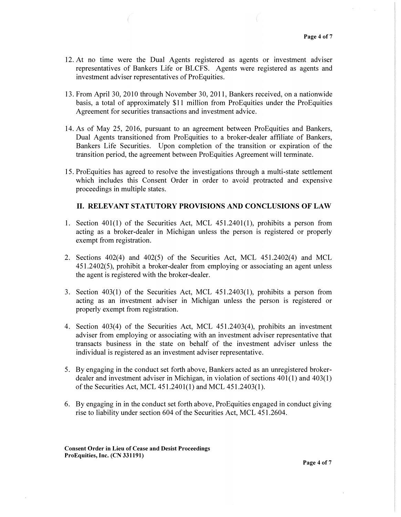- 12. At no time were the Dual Agents registered as agents or investment adviser representatives of Bankers Life or BLCFS. Agents were registered as agents and investment adviser representatives of ProEquities.
- 13. From April 30, 2010 through November 30, 2011, Bankers received, on a nationwide basis, a total of approximately \$11 million from ProEquities under the ProEquities Agreement for securities transactions and investment advice.
- 14. As of May 25, 2016, pursuant to an agreement between ProEquities and Bankers, Dual Agents transitioned from ProEquities to a broker-dealer affiliate of Bankers, Bankers Life Securities. Upon completion of the transition or expiration of the transition period, the agreement between ProEquities Agreement will terminate.
- 15. Pro Equities has agreed to resolve the investigations through a multi-state settlement which includes this Consent Order in order to avoid protracted and expensive proceedings in multiple states.

# II. RELEVANT STATUTORY PROVISIONS AND CONCLUSIONS OF LAW

- 1. Section  $401(1)$  of the Securities Act, MCL  $451.2401(1)$ , prohibits a person from acting as a broker-dealer in Michigan unless the person is registered or properly exempt from registration.
- 2. Sections 402(4) and 402(5) of the Securities Act, MCL 451.2402(4) and MCL 451.2402(5), prohibit a broker-dealer from employing or associating an agent unless the agent is registered with the broker-dealer.
- 3. Section 403(1) of the Securities Act, MCL 451.2403(1), prohibits a person from acting as an investment adviser in Michigan unless the person is registered or properly exempt from registration.
- 4. Section 403(4) of the Securities Act, MCL 451.2403(4), prohibits an investment adviser from employing or associating with an investment adviser representative that transacts business in the state on behalf of the investment adviser unless the individual is registered as an investment adviser representative.
- 5. By engaging in the conduct set forth above, Bankers acted as an unregistered brokerdealer and investment adviser in Michigan, in violation of sections  $401(1)$  and  $403(1)$ of the Securities Act, MCL 451.2401(1) and MCL 451.2403(1).
- 6. By engaging in in the conduct set forth above, ProEquities engaged in conduct giving rise to liability under section 604 of the Securities Act, MCL 451.2604.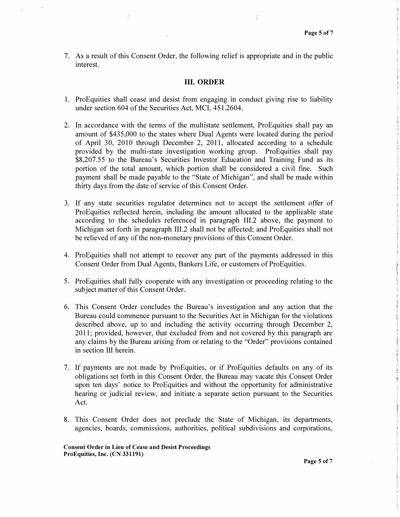7. As a result of this Consent Order, the following relief is appropriate and in the public interest.

#### **III. ORDER**

- 1. ProEquities shall cease and desist from engaging in conduct giving rise to liability under section 604 of the Securities Act, MCL 451.2604.
- 2. In accordance with the terms of the multistate settlement, ProEquities shall pay an amount of \$435,000 to the states where Dual Agents were located during the period of April 30, 2010 through December 2, 2011, allocated according to a schedule provided by the multi-state investigation working group. ProEquities shall pay \$8,207.55 to the Bureau's Securities Investor Education and Training Fund as its portion of the total amount, which portion shall be considered a civil fine. Such payment shall be made payable to the "State of Michigan", and shall be made within thirty days from the date of service of this Consent Order.
- 3. If any state securities regulator determines not to accept the settlement offer of ProEquities reflected herein, including the amount allocated to the applicable state according to the schedules referenced in paragraph III.2 above, the payment to Michigan set forth in paragraph III.2 shall not be affected; and ProEquities shall not be relieved of any of the non-monetary provisions of this Consent Order.
- 4. ProEquities shall not attempt to recover any part of the payments addressed in this Consent Order from Dual Agents, Bankers Life, or customers of ProEquities.
- 5. ProEquities shall fully cooperate with any investigation or proceeding relating to the subject matter of this Consent Order.
- 6. This Consent Order concludes the Bureau's investigation and any action that the Bureau could commence pursuant to the Securities Act in Michigan for the violations described above, up to and including the activity occurring through December 2, 2011; provided, however, that excluded from and not covered by this paragraph are any claims by the Bureau arising from or relating to the "Order" provisions contained in section III herein.
- 7. If payments are not made by ProEquities, or if ProEquities defaults on any of its obligations set forth in this Consent Order, the Bureau may vacate this Consent Order upon ten days' notice to ProEquities and without the opportunity for administrative hearing or judicial review, and initiate a separate action pursuant to the Securities Act.
- 8. This Consent Order does not preclude the State of Michigan, its departments, agencies, boards, commissions, authorities, political subdivisions and corporations,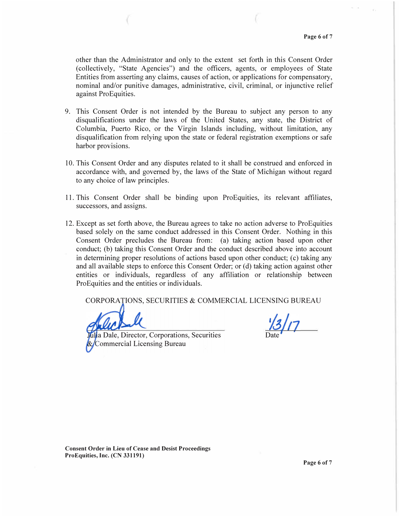other than the Administrator and only to the extent set forth in this Consent Order (collectively, "State Agencies") and the officers, agents, or employees of State Entities from asserting any claims, causes of action, or applications for compensatory, nominal and/or punitive damages, administrative, civil, criminal, or injunctive relief against ProEquities.

- 9. This Consent Order is not intended by the Bureau to subject any person to any disqualifications under the laws of the United States, any state, the District of Columbia, Puerto Rico, or the Virgin Islands including, without limitation, any disqualification from relying upon the state or federal registration exemptions or safe harbor provisions.
- 10. This Consent Order and any disputes related to it shall be construed and enforced in accordance with, and governed by, the laws of the State of Michigan without regard to any choice of law principles.
- 11. This Consent Order shall be binding upon ProEquities, its relevant affiliates, successors, and assigns.
- 12. Except as set forth above, the Bureau agrees to take no action adverse to ProEquities based solely on the same conduct addressed in this Consent Order. Nothing in this Consent Order precludes the Bureau from: (a) taking action based upon other conduct; (b) taking this Consent Order and the conduct described above into account in determining proper resolutions of actions based upon other conduct;  $(c)$  taking any and all available steps to enforce this Consent Order; or (d) taking action against other entities or individuals, regardless of any affiliation or relationship between ProEquities and the entities or individuals.

CORPORATIONS, SECURITIES & COMMERCIAL LICENSING BUREAU

a Dale, Director, Corporations, Securities Commercial Licensing Bureau

Date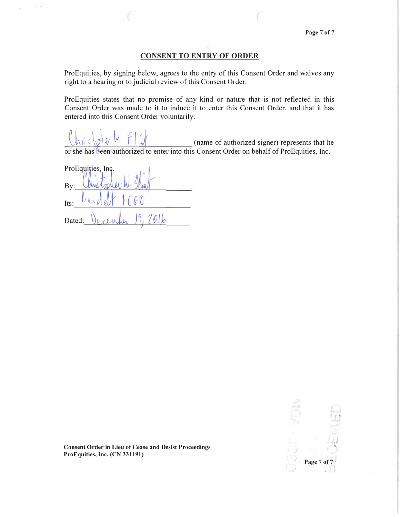## CONSENT TO ENTRY OF ORDER

ProEquities, by signing below, agrees to the entry of this Consent Order and waives any right to a hearing or to judicial review of this Consent Order.

ProEquities states that no promise of any kind or nature that is not reflected in this Consent Order was made to it to induce it to enter this Consent Order, and that it has entered into this Consent Order voluntarily.

(name of authorized signer) represents that he or she has been authorized to enter into this Consent Order on behalf of ProEquities, Inc.

ProEquities, Inc. By: Its: 2016 Dated:

**·�, i ...**  Page 7 of ' /

;